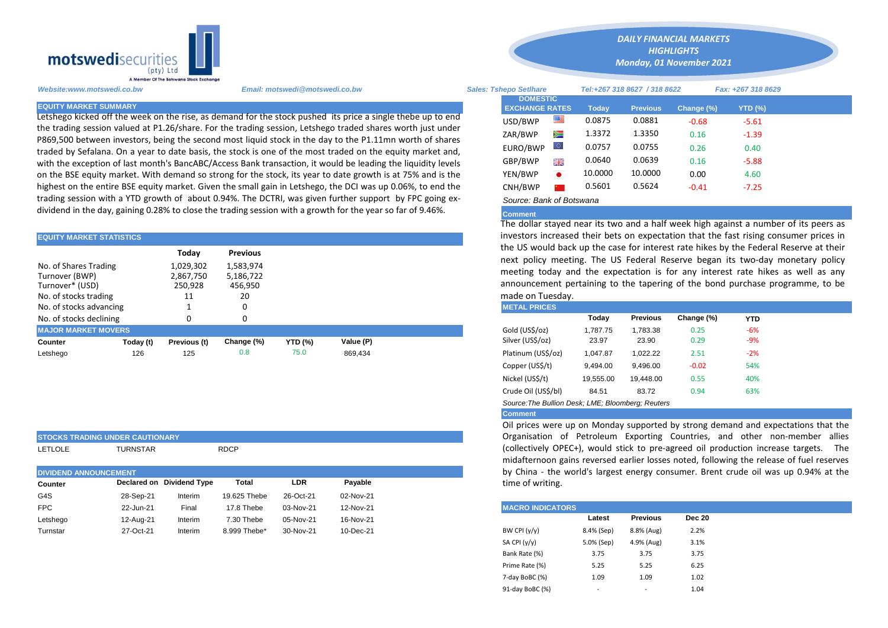

**STOCKS TRADING UNDER CAUTIONARY**

Letshego kicked off the week on the rise, as demand for the stock pushed its price a single thebe up to end the trading session valued at P1.26/share. For the trading session, Letshego traded shares worth just under P869,500 between investors, being the second most liquid stock in the day to the P1.11mn worth of shares traded by Sefalana. On a year to date basis, the stock is one of the most traded on the equity market and, with the exception of last month's BancABC/Access Bank transaction, it would be leading the liquidity levels on the BSE equity market. With demand so strong for the stock, its year to date growth is at 75% and is the highest on the entire BSE equity market. Given the small gain in Letshego, the DCI was up 0.06%, to end the trading session with a YTD growth of about 0.94%. The DCTRI, was given further support by FPC going exdividend in the day, gaining 0.28% to close the trading session with a growth for the year so far of 9.46%.

| <b>EQUITY MARKET STATISTICS</b>                                                                                |           |                                         |                                         |                | investors increased their bets on expectation that the fast rising con |  |                                                                                                                                                                                                                                                    |          |                 |            |            |  |  |  |
|----------------------------------------------------------------------------------------------------------------|-----------|-----------------------------------------|-----------------------------------------|----------------|------------------------------------------------------------------------|--|----------------------------------------------------------------------------------------------------------------------------------------------------------------------------------------------------------------------------------------------------|----------|-----------------|------------|------------|--|--|--|
|                                                                                                                |           | Today                                   | <b>Previous</b>                         |                |                                                                        |  | the US would back up the case for interest rate hikes by the Federal I                                                                                                                                                                             |          |                 |            |            |  |  |  |
| No. of Shares Trading<br>Turnover (BWP)<br>Turnover* (USD)<br>No. of stocks trading<br>No. of stocks advancing |           | 1,029,302<br>2,867,750<br>250.928<br>11 | 1,583,974<br>5,186,722<br>456,950<br>20 |                |                                                                        |  | next policy meeting. The US Federal Reserve began its two-day m<br>meeting today and the expectation is for any interest rate hikes<br>announcement pertaining to the tapering of the bond purchase pro<br>made on Tuesday.<br><b>METAL PRICES</b> |          |                 |            |            |  |  |  |
| No. of stocks declining                                                                                        |           |                                         |                                         |                |                                                                        |  |                                                                                                                                                                                                                                                    | Today    | <b>Previous</b> | Change (%) | <b>YTD</b> |  |  |  |
| <b>MAJOR MARKET MOVERS</b>                                                                                     |           |                                         |                                         |                |                                                                        |  | Gold (US\$/oz)                                                                                                                                                                                                                                     | 1.787.75 | 1.783.38        | 0.25       | $-6%$      |  |  |  |
| Counter                                                                                                        | Today (t) | Previous (t)                            | Change (%)                              | <b>YTD (%)</b> | Value (P)                                                              |  | Silver (US\$/oz)                                                                                                                                                                                                                                   | 23.97    | 23.90           | 0.29       | $-9%$      |  |  |  |
| Letshego                                                                                                       | 126       | 125                                     | 0.8                                     | 75.0           | 869.434                                                                |  | Platinum (US\$/oz)                                                                                                                                                                                                                                 | 1.047.87 | 1.022.22        | 2.51       | $-2%$      |  |  |  |

|                              | ISTOCKS TRADING UNDER CAUTIONART |                           |              |            |           |  | Ulgalisation of Fetible on Laporthig Countries                                                               |            |                 |        |
|------------------------------|----------------------------------|---------------------------|--------------|------------|-----------|--|--------------------------------------------------------------------------------------------------------------|------------|-----------------|--------|
| <b>LETLOLE</b>               | TURNSTAR                         |                           | <b>RDCP</b>  |            |           |  | (collectively OPEC+), would stick to pre-agreed oil<br>midafternoon gains reversed earlier losses noted, for |            |                 |        |
| <b>DIVIDEND ANNOUNCEMENT</b> |                                  |                           |              |            |           |  | by China - the world's largest energy consumer. Br                                                           |            |                 |        |
| Counter                      |                                  | Declared on Dividend Type | Total        | <b>LDR</b> | Pavable   |  | time of writing.                                                                                             |            |                 |        |
| G4S                          | 28-Sep-21                        | Interim                   | 19.625 Thebe | 26-Oct-21  | 02-Nov-21 |  |                                                                                                              |            |                 |        |
| <b>FPC</b>                   | 22-Jun-21                        | Final                     | 17.8 Thebe   | 03-Nov-21  | 12-Nov-21 |  | <b>MACRO INDICATORS</b>                                                                                      |            |                 |        |
| Letshego                     | 12-Aug-21                        | Interim                   | 7.30 Thebe   | 05-Nov-21  | 16-Nov-21 |  |                                                                                                              | Latest     | <b>Previous</b> | Dec 20 |
| Turnstar                     | 27-Oct-21                        | Interim                   | 8.999 Thebe* | 30-Nov-21  | 10-Dec-21 |  | BW CPI $(y/y)$                                                                                               | 8.4% (Sep) | 8.8% (Aug)      | 2.2%   |
|                              |                                  |                           |              |            |           |  |                                                                                                              |            |                 |        |

*Website:www.motswedi.co.bw Email: motswedi@motswedi.co.bw Sales: Tshepo Setlhare Tel:+267 318 8627 / 318 8622 Fax: +267 318 8629*  **EQUITY MARKET SUMMARY Today Previous Change (%) YTD (%)**  $\text{USD/BWP}$   $\blacksquare$  0.0875 0.0881 -0.68 -5.61 ZAR/BWP 2 1.3372 1.3350 0.16 -1.39 EURO/BWP 0.0757 0.0755 0.26 0.40 GBP/BWP **EXECUTE:** 0.0640 0.0639 0.16 -5.88 YEN/BWP 10.0000 10.0000 0.00 4.60 CNH/BWP 2 0.5601 0.5624 -0.41 -7.25 **DOMESTIC EXCHANGE RATES**

*DAILY FINANCIAL MARKETS HIGHLIGHTS Monday, 01 November 2021* 

## *Source: Bank of Botswana*

## **Comment**

The dollar stayed near its two and a half week high against a number of its peers as investors increased their bets on expectation that the fast rising consumer prices in the US would back up the case for interest rate hikes by the Federal Reserve at their next policy meeting. The US Federal Reserve began its two-day monetary policy meeting today and the expectation is for any interest rate hikes as well as any announcement pertaining to the tapering of the bond purchase programme, to be made on Tuesday.

| <b>METAL PRICES</b>                               |           |                 |            |            |  |
|---------------------------------------------------|-----------|-----------------|------------|------------|--|
|                                                   | Today     | <b>Previous</b> | Change (%) | <b>YTD</b> |  |
| Gold (US\$/oz)                                    | 1,787.75  | 1,783.38        | 0.25       | $-6%$      |  |
| Silver (US\$/oz)                                  | 23.97     | 23.90           | 0.29       | -9%        |  |
| Platinum (US\$/oz)                                | 1,047.87  | 1,022.22        | 2.51       | $-2\%$     |  |
| Copper (US\$/t)                                   | 9,494.00  | 9.496.00        | $-0.02$    | 54%        |  |
| Nickel (US\$/t)                                   | 19,555.00 | 19.448.00       | 0.55       | 40%        |  |
| Crude Oil (US\$/bl)                               | 84.51     | 83.72           | 0.94       | 63%        |  |
| Source: The Bullion Desk; LME; Bloomberg; Reuters |           |                 |            |            |  |

## **Comment**

Oil prices were up on Monday supported by strong demand and expectations that the Organisation of Petroleum Exporting Countries, and other non-member allies (collectively OPEC+), would stick to pre-agreed oil production increase targets. The midafternoon gains reversed earlier losses noted, following the release of fuel reserves by China - the world's largest energy consumer. Brent crude oil was up 0.94% at the time of writing.

| <b>MACRO INDICATORS</b> |                          |                 |               |
|-------------------------|--------------------------|-----------------|---------------|
|                         | Latest                   | <b>Previous</b> | <b>Dec 20</b> |
| BW CPI $(y/y)$          | 8.4% (Sep)               | 8.8% (Aug)      | 2.2%          |
| SA CPI $(y/y)$          | 5.0% (Sep)               | 4.9% (Aug)      | 3.1%          |
| Bank Rate (%)           | 3.75                     | 3.75            | 3.75          |
| Prime Rate (%)          | 5.25                     | 5.25            | 6.25          |
| 7-day BoBC (%)          | 1.09                     | 1.09            | 1.02          |
| 91-day BoBC (%)         | $\overline{\phantom{a}}$ | ۰               | 1.04          |